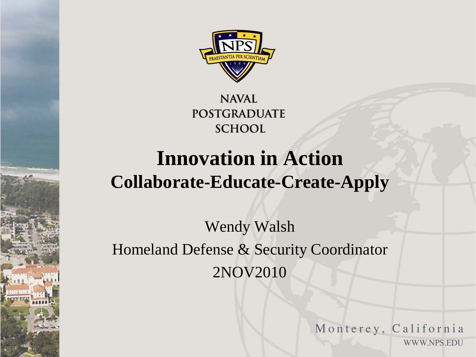

**NAVAL POSTGRADUATE SCHOOL** 

## **Innovation in Action Collaborate-Educate-Create-Apply**

Wendy Walsh Homeland Defense & Security Coordinator 2NOV2010

> Monterey, California WWW.NPS.EDU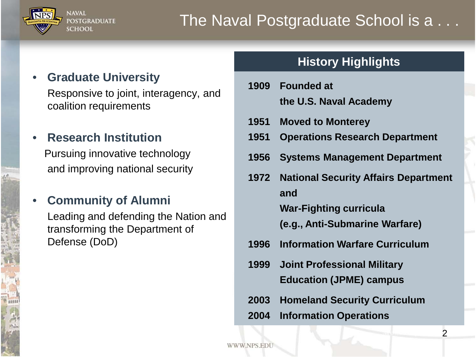

### • **Graduate University**

**POSTGRADUATE** 

**NAVAL** 

**SCHOOL** 

Responsive to joint, interagency, and coalition requirements

#### • **Research Institution**

Pursuing innovative technology and improving national security

#### • **Community of Alumni**

Leading and defending the Nation and transforming the Department of Defense (DoD)

#### **History Highlights**

- **1909 Founded at the U.S. Naval Academy**
- **1951 Moved to Monterey**
- **1951 Operations Research Department**
- **1956 Systems Management Department**
- **1972 National Security Affairs Department and War-Fighting curricula (e.g., Anti-Submarine Warfare)**
- **1996 Information Warfare Curriculum**
- **1999 Joint Professional Military Education (JPME) campus**
- **2003 Homeland Security Curriculum**
- **2004 Information Operations**

WWW.NPS.ED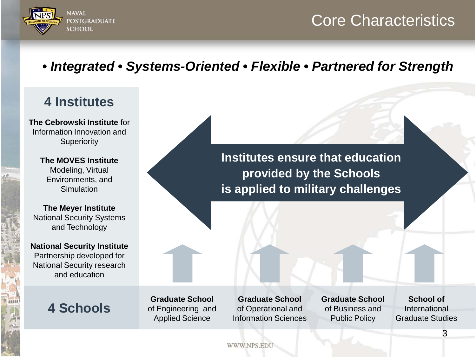

## Core Characteristics

## *• Integrated • Systems-Oriented • Flexible • Partnered for Strength*

## **4 Institutes**

**The Cebrowski Institute** for Information Innovation and **Superiority** 

> **The MOVES Institute** Modeling, Virtual Environments, and **Simulation**

**The Meyer Institute**  National Security Systems and Technology

**National Security Institute** Partnership developed for National Security research and education

**4 Schools**

**Institutes ensure that education provided by the Schools is applied to military challenges**

**Graduate School**  of Engineering and Applied Science

**Graduate School**  of Operational and Information Sciences **Graduate School**  of Business and Public Policy

**School of** International Graduate Studies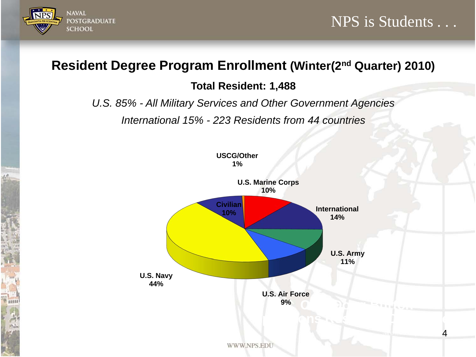

4

## **Resident Degree Program Enrollment (Winter(2nd Quarter) 2010)**

#### **Total Resident: 1,488**

*U.S. 85% - All Military Services and Other Government Agencies* 

*International 15% - 223 Residents from 44 countries*

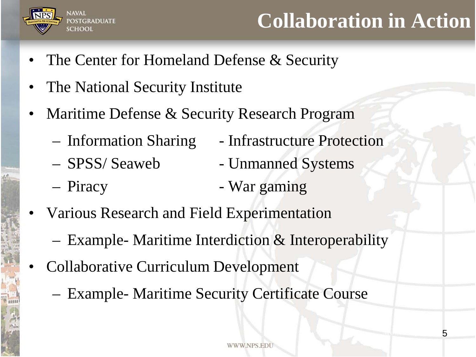

## **Collaboration in Action**

- The Center for Homeland Defense & Security
- The National Security Institute
- Maritime Defense & Security Research Program
	-
	- SPSS/ Seaweb Unmanned Systems
	- Piracy War gaming
	- Information Sharing Infrastructure Protection
		-
		-
- Various Research and Field Experimentation
	- Example- Maritime Interdiction & Interoperability
- Collaborative Curriculum Development
	- Example- Maritime Security Certificate Course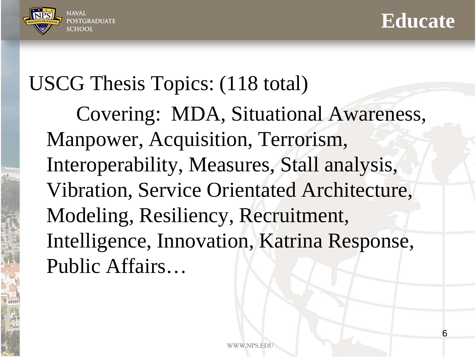



6

## USCG Thesis Topics: (118 total)

Covering: MDA, Situational Awareness, Manpower, Acquisition, Terrorism, Interoperability, Measures, Stall analysis, Vibration, Service Orientated Architecture, Modeling, Resiliency, Recruitment, Intelligence, Innovation, Katrina Response, Public Affairs…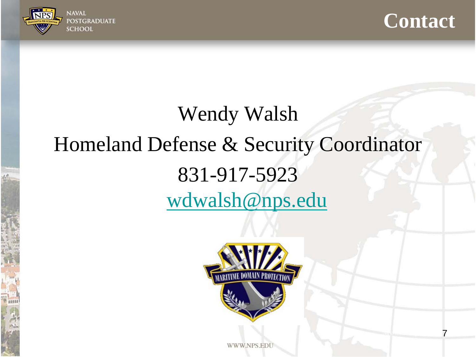



7

# Wendy Walsh Homeland Defense & Security Coordinator 831-917-5923 [wdwalsh@nps.edu](mailto:wdwalsh@nps.edu)



WWW.NPS.EDI